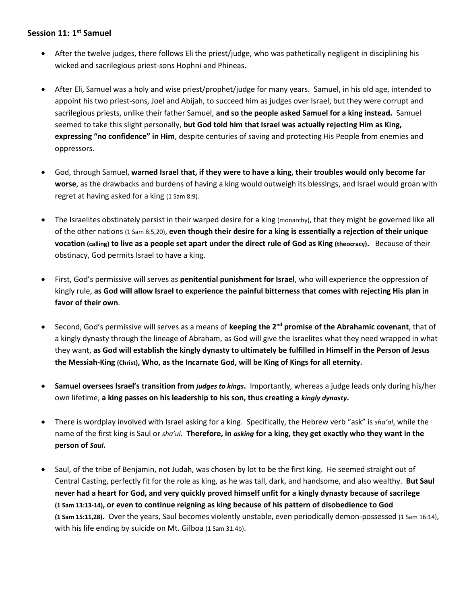## **Session 11: 1 st Samuel**

- After the twelve judges, there follows Eli the priest/judge, who was pathetically negligent in disciplining his wicked and sacrilegious priest-sons Hophni and Phineas.
- After Eli, Samuel was a holy and wise priest/prophet/judge for many years. Samuel, in his old age, intended to appoint his two priest-sons, Joel and Abijah, to succeed him as judges over Israel, but they were corrupt and sacrilegious priests, unlike their father Samuel, **and so the people asked Samuel for a king instead.** Samuel seemed to take this slight personally, **but God told him that Israel was actually rejecting Him as King, expressing "no confidence" in Him**, despite centuries of saving and protecting His People from enemies and oppressors.
- God, through Samuel, **warned Israel that, if they were to have a king, their troubles would only become far worse**, as the drawbacks and burdens of having a king would outweigh its blessings, and Israel would groan with regret at having asked for a king (1 Sam 8:9).
- The Israelites obstinately persist in their warped desire for a king (monarchy), that they might be governed like all of the other nations (1 Sam 8:5,20), **even though their desire for a king is essentially a rejection of their unique vocation (calling) to live as a people set apart under the direct rule of God as King (theocracy).** Because of their obstinacy, God permits Israel to have a king.
- First, God's permissive will serves as **penitential punishment for Israel**, who will experience the oppression of kingly rule, **as God will allow Israel to experience the painful bitterness that comes with rejecting His plan in favor of their own**.
- Second, God's permissive will serves as a means of **keeping the 2nd promise of the Abrahamic covenant**, that of a kingly dynasty through the lineage of Abraham, as God will give the Israelites what they need wrapped in what they want, **as God will establish the kingly dynasty to ultimately be fulfilled in Himself in the Person of Jesus the Messiah-King (Christ), Who, as the Incarnate God, will be King of Kings for all eternity.**
- **Samuel oversees Israel's transition from** *judges to kings***.** Importantly, whereas a judge leads only during his/her own lifetime, **a king passes on his leadership to his son, thus creating a** *kingly dynasty***.**
- There is wordplay involved with Israel asking for a king. Specifically, the Hebrew verb "ask" is *sha'al*, while the name of the first king is Saul or *sha'ul*. **Therefore, in** *asking* **for a king, they get exactly who they want in the person of** *Saul***.**
- Saul, of the tribe of Benjamin, not Judah, was chosen by lot to be the first king. He seemed straight out of Central Casting, perfectly fit for the role as king, as he was tall, dark, and handsome, and also wealthy. **But Saul never had a heart for God, and very quickly proved himself unfit for a kingly dynasty because of sacrilege (1 Sam 13:13-14), or even to continue reigning as king because of his pattern of disobedience to God (1 Sam 15:11,28).** Over the years, Saul becomes violently unstable, even periodically demon-possessed (1 Sam 16:14), with his life ending by suicide on Mt. Gilboa (1 Sam 31:4b).